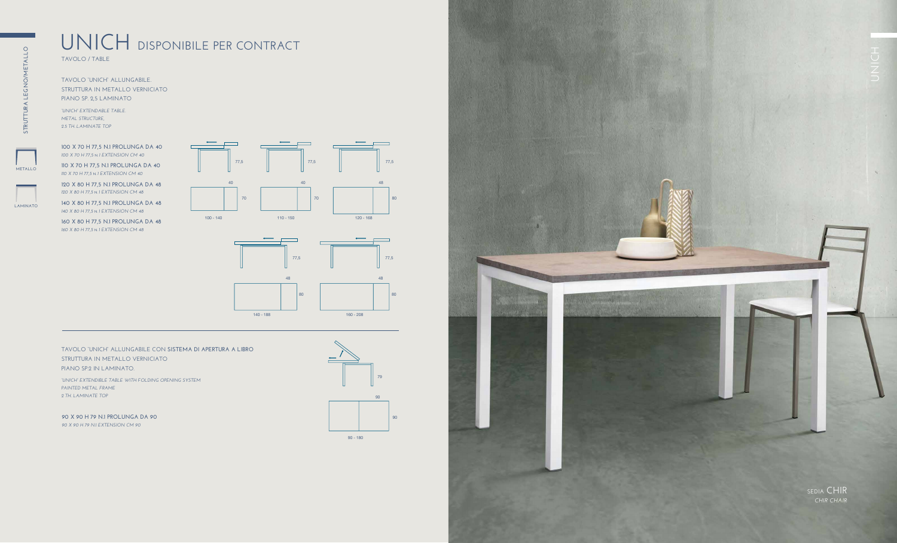## **METALLO**

# **UNICH DISPONIBILE PER CONTRACT**

**TAVOLO / TABLE**

**TAVOLO "UNICH" ALLUNGABILE. STRUTTURA IN METALLO VERNICIATO PIANO SP. 2,5 LAMINATO**

#### **TAVOLO "UNICH" ALLUNGABILE CON SISTEMA DI APERTURA A LIBRO STRUTTURA IN METALLO VERNICIATO PIANO SP.2 IN LAMINATO.**

*"UNICH" EXTENDABLE TABLE. METAL STRUCTURE, 2.5 TH. LAMINATE TOP*

*"UNICH" EXTENDIBLE TABLE WITH FOLDING OPENING SYSTEM PAINTED METAL FRAME 2 TH. LAMINATE TOP*

**100 X 70 H 77,5 N.1 PROLUNGA DA 40**  *100 X 70 H 77,5* **N.** *1 EXTENSION CM 40*

**110 X 70 H 77,5 N.1 PROLUNGA DA 40**  *110 X 70 H 77,5* **N.** *1 EXTENSION CM 40*

**120 X 80 H 77,5 N.1 PROLUNGA DA 48**  *120 X 80 H 77,5* **N.** *1 EXTENSION CM 48*

**140 X 80 H 77,5 N.1 PROLUNGA DA 48**  *140 X 80 H 77,5* **N.** *1 EXTENSION CM 48*

**160 X 80 H 77,5 N.1 PROLUNGA DA 48**  *160 X 80 H 77,5* **N.** *1 EXTENSION CM 48*

**LAMINATO**







90 - 180

**90 X 90 H 79 N.1 PROLUNGA DA 90** *90 X 90 H 79 N.1 EXTENSION CM 90*

*CHIR CHAIR*